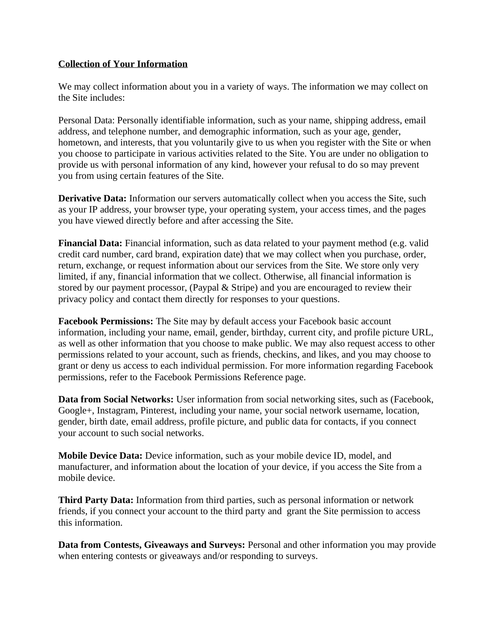### **Collection of Your Information**

We may collect information about you in a variety of ways. The information we may collect on the Site includes:

Personal Data: Personally identifiable information, such as your name, shipping address, email address, and telephone number, and demographic information, such as your age, gender, hometown, and interests, that you voluntarily give to us when you register with the Site or when you choose to participate in various activities related to the Site. You are under no obligation to provide us with personal information of any kind, however your refusal to do so may prevent you from using certain features of the Site.

**Derivative Data:** Information our servers automatically collect when you access the Site, such as your IP address, your browser type, your operating system, your access times, and the pages you have viewed directly before and after accessing the Site.

**Financial Data:** Financial information, such as data related to your payment method (e.g. valid credit card number, card brand, expiration date) that we may collect when you purchase, order, return, exchange, or request information about our services from the Site. We store only very limited, if any, financial information that we collect. Otherwise, all financial information is stored by our payment processor, (Paypal & Stripe) and you are encouraged to review their privacy policy and contact them directly for responses to your questions.

**Facebook Permissions:** The Site may by default access your Facebook basic account information, including your name, email, gender, birthday, current city, and profile picture URL, as well as other information that you choose to make public. We may also request access to other permissions related to your account, such as friends, checkins, and likes, and you may choose to grant or deny us access to each individual permission. For more information regarding Facebook permissions, refer to the Facebook Permissions Reference page.

**Data from Social Networks:** User information from social networking sites, such as (Facebook, Google+, Instagram, Pinterest, including your name, your social network username, location, gender, birth date, email address, profile picture, and public data for contacts, if you connect your account to such social networks.

**Mobile Device Data:** Device information, such as your mobile device ID, model, and manufacturer, and information about the location of your device, if you access the Site from a mobile device.

**Third Party Data:** Information from third parties, such as personal information or network friends, if you connect your account to the third party and grant the Site permission to access this information.

**Data from Contests, Giveaways and Surveys:** Personal and other information you may provide when entering contests or giveaways and/or responding to surveys.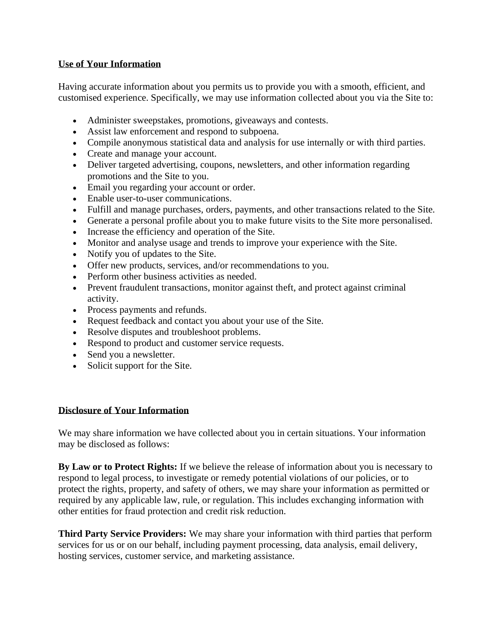## **Use of Your Information**

Having accurate information about you permits us to provide you with a smooth, efficient, and customised experience. Specifically, we may use information collected about you via the Site to:

- Administer sweepstakes, promotions, giveaways and contests.
- Assist law enforcement and respond to subpoena.
- Compile anonymous statistical data and analysis for use internally or with third parties.
- Create and manage your account.
- Deliver targeted advertising, coupons, newsletters, and other information regarding promotions and the Site to you.
- Email you regarding your account or order.
- Enable user-to-user communications.
- Fulfill and manage purchases, orders, payments, and other transactions related to the Site.
- Generate a personal profile about you to make future visits to the Site more personalised.
- Increase the efficiency and operation of the Site.
- Monitor and analyse usage and trends to improve your experience with the Site.
- Notify you of updates to the Site.
- Offer new products, services, and/or recommendations to you.
- Perform other business activities as needed.
- Prevent fraudulent transactions, monitor against theft, and protect against criminal activity.
- Process payments and refunds.
- Request feedback and contact you about your use of the Site.
- Resolve disputes and troubleshoot problems.
- Respond to product and customer service requests.
- Send you a new sletter.
- Solicit support for the Site.

#### **Disclosure of Your Information**

We may share information we have collected about you in certain situations. Your information may be disclosed as follows:

**By Law or to Protect Rights:** If we believe the release of information about you is necessary to respond to legal process, to investigate or remedy potential violations of our policies, or to protect the rights, property, and safety of others, we may share your information as permitted or required by any applicable law, rule, or regulation. This includes exchanging information with other entities for fraud protection and credit risk reduction.

**Third Party Service Providers:** We may share your information with third parties that perform services for us or on our behalf, including payment processing, data analysis, email delivery, hosting services, customer service, and marketing assistance.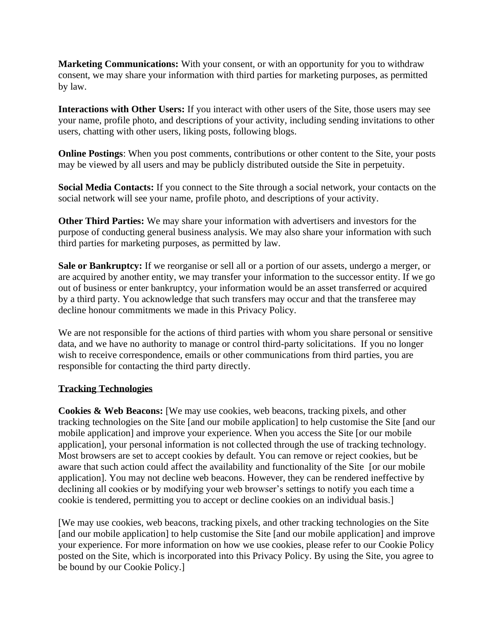**Marketing Communications:** With your consent, or with an opportunity for you to withdraw consent, we may share your information with third parties for marketing purposes, as permitted by law.

**Interactions with Other Users:** If you interact with other users of the Site, those users may see your name, profile photo, and descriptions of your activity, including sending invitations to other users, chatting with other users, liking posts, following blogs.

**Online Postings**: When you post comments, contributions or other content to the Site, your posts may be viewed by all users and may be publicly distributed outside the Site in perpetuity.

**Social Media Contacts:** If you connect to the Site through a social network, your contacts on the social network will see your name, profile photo, and descriptions of your activity.

**Other Third Parties:** We may share your information with advertisers and investors for the purpose of conducting general business analysis. We may also share your information with such third parties for marketing purposes, as permitted by law.

**Sale or Bankruptcy:** If we reorganise or sell all or a portion of our assets, undergo a merger, or are acquired by another entity, we may transfer your information to the successor entity. If we go out of business or enter bankruptcy, your information would be an asset transferred or acquired by a third party. You acknowledge that such transfers may occur and that the transferee may decline honour commitments we made in this Privacy Policy.

We are not responsible for the actions of third parties with whom you share personal or sensitive data, and we have no authority to manage or control third-party solicitations. If you no longer wish to receive correspondence, emails or other communications from third parties, you are responsible for contacting the third party directly.

### **Tracking Technologies**

**Cookies & Web Beacons:** [We may use cookies, web beacons, tracking pixels, and other tracking technologies on the Site [and our mobile application] to help customise the Site [and our mobile application] and improve your experience. When you access the Site [or our mobile application], your personal information is not collected through the use of tracking technology. Most browsers are set to accept cookies by default. You can remove or reject cookies, but be aware that such action could affect the availability and functionality of the Site [or our mobile application]. You may not decline web beacons. However, they can be rendered ineffective by declining all cookies or by modifying your web browser's settings to notify you each time a cookie is tendered, permitting you to accept or decline cookies on an individual basis.]

[We may use cookies, web beacons, tracking pixels, and other tracking technologies on the Site [and our mobile application] to help customise the Site [and our mobile application] and improve your experience. For more information on how we use cookies, please refer to our Cookie Policy posted on the Site, which is incorporated into this Privacy Policy. By using the Site, you agree to be bound by our Cookie Policy.]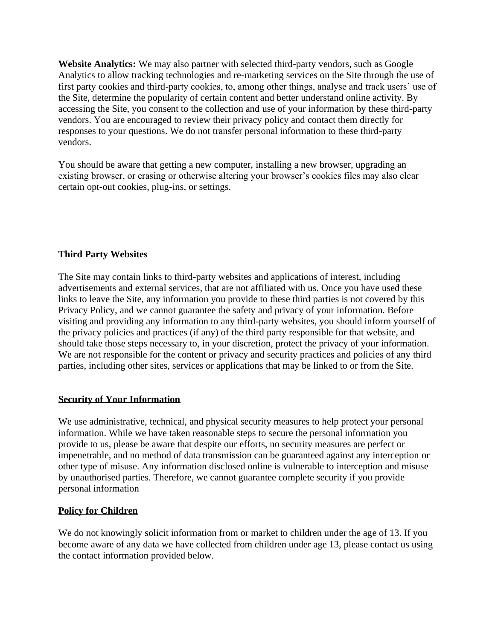**Website Analytics:** We may also partner with selected third-party vendors, such as Google Analytics to allow tracking technologies and re-marketing services on the Site through the use of first party cookies and third-party cookies, to, among other things, analyse and track users' use of the Site, determine the popularity of certain content and better understand online activity. By accessing the Site, you consent to the collection and use of your information by these third-party vendors. You are encouraged to review their privacy policy and contact them directly for responses to your questions. We do not transfer personal information to these third-party vendors.

You should be aware that getting a new computer, installing a new browser, upgrading an existing browser, or erasing or otherwise altering your browser's cookies files may also clear certain opt-out cookies, plug-ins, or settings.

## **Third Party Websites**

The Site may contain links to third-party websites and applications of interest, including advertisements and external services, that are not affiliated with us. Once you have used these links to leave the Site, any information you provide to these third parties is not covered by this Privacy Policy, and we cannot guarantee the safety and privacy of your information. Before visiting and providing any information to any third-party websites, you should inform yourself of the privacy policies and practices (if any) of the third party responsible for that website, and should take those steps necessary to, in your discretion, protect the privacy of your information. We are not responsible for the content or privacy and security practices and policies of any third parties, including other sites, services or applications that may be linked to or from the Site.

## **Security of Your Information**

We use administrative, technical, and physical security measures to help protect your personal information. While we have taken reasonable steps to secure the personal information you provide to us, please be aware that despite our efforts, no security measures are perfect or impenetrable, and no method of data transmission can be guaranteed against any interception or other type of misuse. Any information disclosed online is vulnerable to interception and misuse by unauthorised parties. Therefore, we cannot guarantee complete security if you provide personal information

## **Policy for Children**

We do not knowingly solicit information from or market to children under the age of 13. If you become aware of any data we have collected from children under age 13, please contact us using the contact information provided below.